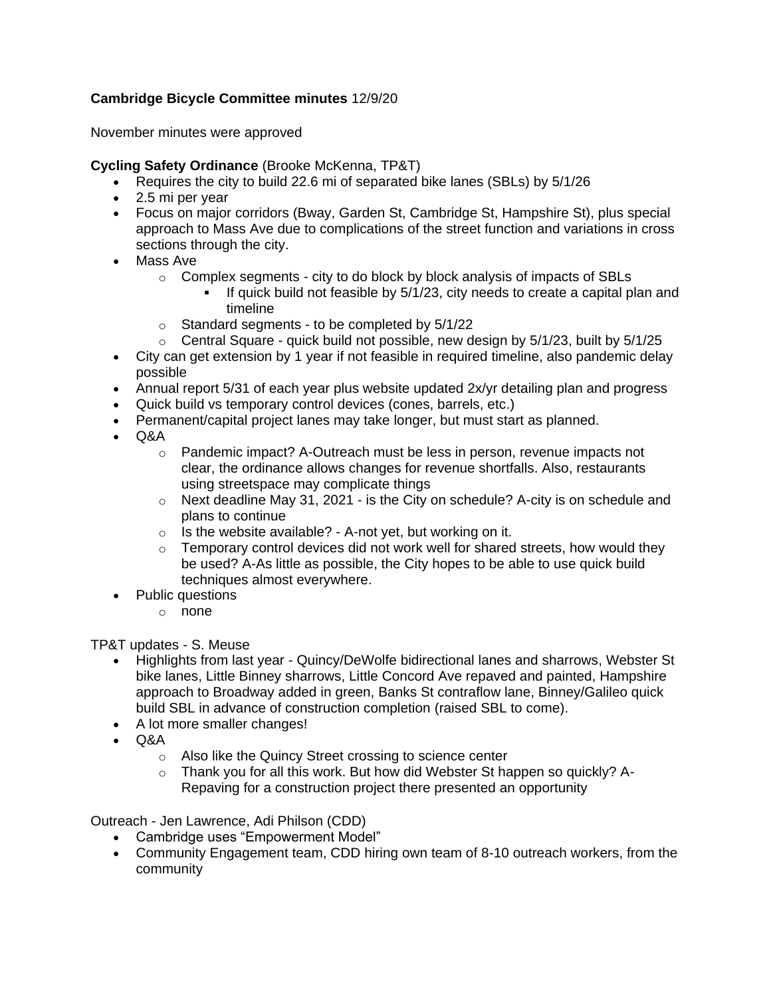## **Cambridge Bicycle Committee minutes** 12/9/20

November minutes were approved

## **Cycling Safety Ordinance** (Brooke McKenna, TP&T)

- Requires the city to build 22.6 mi of separated bike lanes (SBLs) by 5/1/26
- 2.5 mi per year
- Focus on major corridors (Bway, Garden St, Cambridge St, Hampshire St), plus special approach to Mass Ave due to complications of the street function and variations in cross sections through the city.
- Mass Ave
	- $\circ$  Complex segments city to do block by block analysis of impacts of SBLs
		- If quick build not feasible by 5/1/23, city needs to create a capital plan and timeline
	- $\circ$  Standard segments to be completed by  $5/1/22$
	- $\circ$  Central Square quick build not possible, new design by 5/1/23, built by 5/1/25
- City can get extension by 1 year if not feasible in required timeline, also pandemic delay possible
- Annual report 5/31 of each year plus website updated 2x/yr detailing plan and progress
- Quick build vs temporary control devices (cones, barrels, etc.)
- Permanent/capital project lanes may take longer, but must start as planned.
- Q&A
	- $\circ$  Pandemic impact? A-Outreach must be less in person, revenue impacts not clear, the ordinance allows changes for revenue shortfalls. Also, restaurants using streetspace may complicate things
	- o Next deadline May 31, 2021 is the City on schedule? A-city is on schedule and plans to continue
	- $\circ$  Is the website available? A-not yet, but working on it.
	- $\circ$  Temporary control devices did not work well for shared streets, how would they be used? A-As little as possible, the City hopes to be able to use quick build techniques almost everywhere.
- Public questions
	- o none

TP&T updates - S. Meuse

- Highlights from last year Quincy/DeWolfe bidirectional lanes and sharrows, Webster St bike lanes, Little Binney sharrows, Little Concord Ave repaved and painted, Hampshire approach to Broadway added in green, Banks St contraflow lane, Binney/Galileo quick build SBL in advance of construction completion (raised SBL to come).
- A lot more smaller changes!
- Q&A
	- o Also like the Quincy Street crossing to science center
	- $\circ$  Thank you for all this work. But how did Webster St happen so quickly? A-Repaving for a construction project there presented an opportunity

Outreach - Jen Lawrence, Adi Philson (CDD)

- Cambridge uses "Empowerment Model"
- Community Engagement team, CDD hiring own team of 8-10 outreach workers, from the community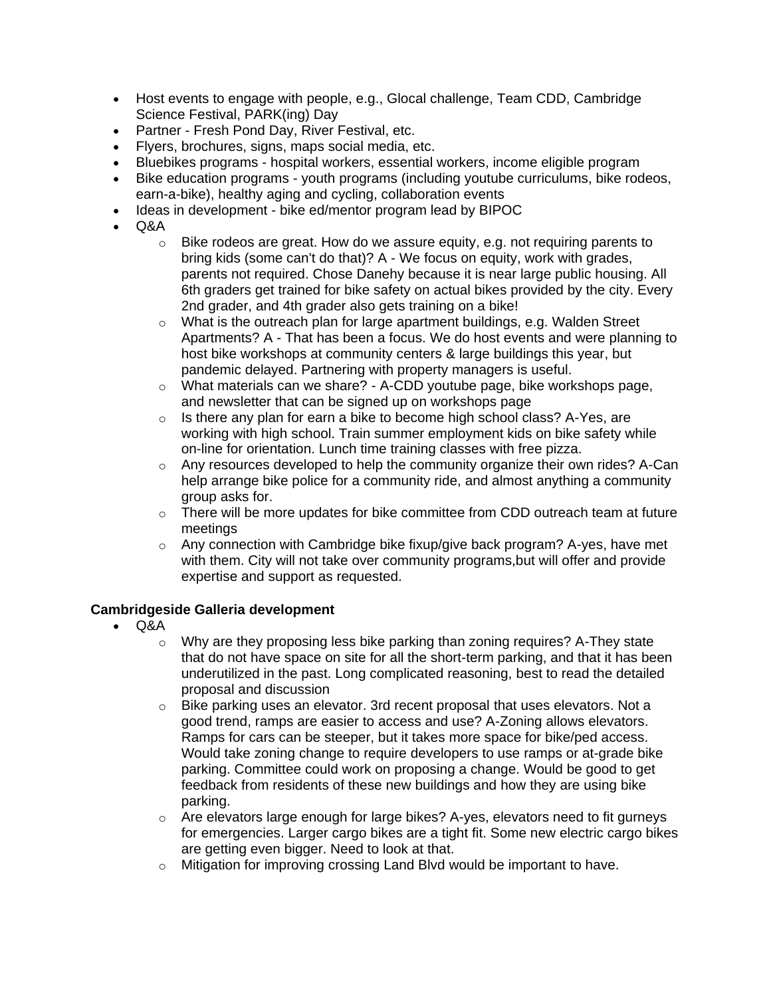- Host events to engage with people, e.g., Glocal challenge, Team CDD, Cambridge Science Festival, PARK(ing) Day
- Partner Fresh Pond Day, River Festival, etc.
- Flyers, brochures, signs, maps social media, etc.
- Bluebikes programs hospital workers, essential workers, income eligible program
- Bike education programs youth programs (including youtube curriculums, bike rodeos, earn-a-bike), healthy aging and cycling, collaboration events
- Ideas in development bike ed/mentor program lead by BIPOC
- Q&A
	- $\circ$  Bike rodeos are great. How do we assure equity, e.g. not requiring parents to bring kids (some can't do that)? A - We focus on equity, work with grades, parents not required. Chose Danehy because it is near large public housing. All 6th graders get trained for bike safety on actual bikes provided by the city. Every 2nd grader, and 4th grader also gets training on a bike!
	- $\circ$  What is the outreach plan for large apartment buildings, e.g. Walden Street Apartments? A - That has been a focus. We do host events and were planning to host bike workshops at community centers & large buildings this year, but pandemic delayed. Partnering with property managers is useful.
	- o What materials can we share? A-CDD youtube page, bike workshops page, and newsletter that can be signed up on workshops page
	- $\circ$  Is there any plan for earn a bike to become high school class? A-Yes, are working with high school. Train summer employment kids on bike safety while on-line for orientation. Lunch time training classes with free pizza.
	- $\circ$  Any resources developed to help the community organize their own rides? A-Can help arrange bike police for a community ride, and almost anything a community group asks for.
	- $\circ$  There will be more updates for bike committee from CDD outreach team at future meetings
	- $\circ$  Any connection with Cambridge bike fixup/give back program? A-yes, have met with them. City will not take over community programs,but will offer and provide expertise and support as requested.

## **Cambridgeside Galleria development**

- Q&A
	- $\circ$  Why are they proposing less bike parking than zoning requires? A-They state that do not have space on site for all the short-term parking, and that it has been underutilized in the past. Long complicated reasoning, best to read the detailed proposal and discussion
	- o Bike parking uses an elevator. 3rd recent proposal that uses elevators. Not a good trend, ramps are easier to access and use? A-Zoning allows elevators. Ramps for cars can be steeper, but it takes more space for bike/ped access. Would take zoning change to require developers to use ramps or at-grade bike parking. Committee could work on proposing a change. Would be good to get feedback from residents of these new buildings and how they are using bike parking.
	- $\circ$  Are elevators large enough for large bikes? A-yes, elevators need to fit gurneys for emergencies. Larger cargo bikes are a tight fit. Some new electric cargo bikes are getting even bigger. Need to look at that.
	- o Mitigation for improving crossing Land Blvd would be important to have.